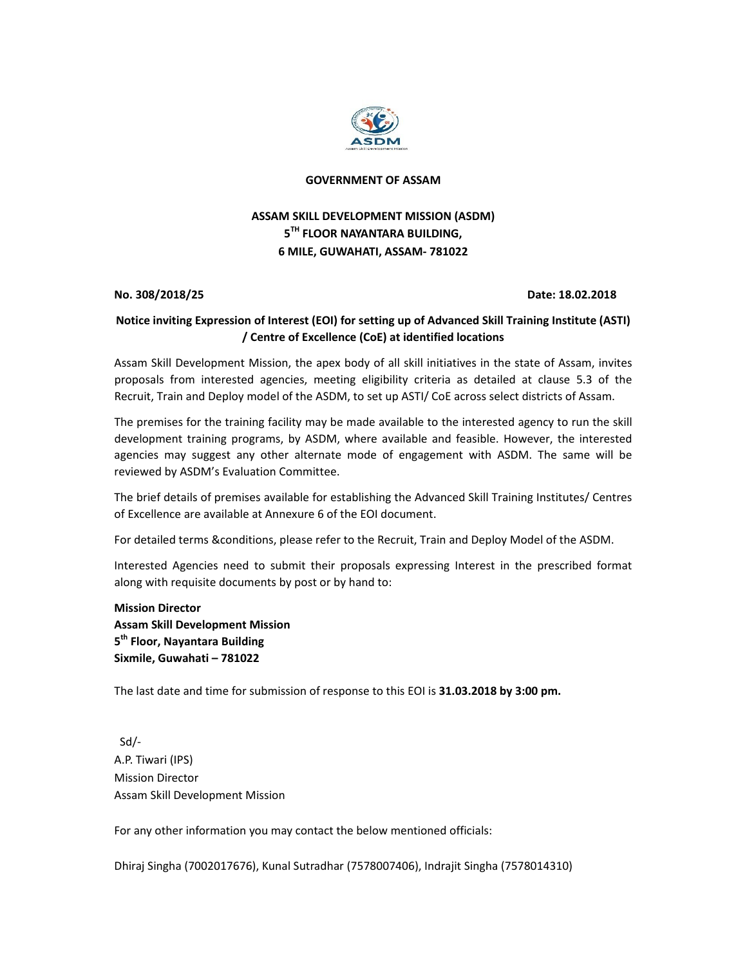

## **GOVERNMENT OF ASSAM**

# **ASSAM SKILL DEVELOPMENT MISSION (ASDM) 5TH FLOOR NAYANTARA BUILDING, 6 MILE, GUWAHATI, ASSAM‐ 781022**

**No. 308/2018/25 Date: 18.02.2018**

# **Notice inviting Expression of Interest (EOI) for setting up of Advanced Skill Training Institute (ASTI) / Centre of Excellence (CoE) at identified locations**

Assam Skill Development Mission, the apex body of all skill initiatives in the state of Assam, invites proposals from interested agencies, meeting eligibility criteria as detailed at clause 5.3 of the Recruit, Train and Deploy model of the ASDM, to set up ASTI/ CoE across select districts of Assam.

The premises for the training facility may be made available to the interested agency to run the skill development training programs, by ASDM, where available and feasible. However, the interested agencies may suggest any other alternate mode of engagement with ASDM. The same will be reviewed by ASDM's Evaluation Committee.

The brief details of premises available for establishing the Advanced Skill Training Institutes/ Centres of Excellence are available at Annexure 6 of the EOI document.

For detailed terms &conditions, please refer to the Recruit, Train and Deploy Model of the ASDM.

Interested Agencies need to submit their proposals expressing Interest in the prescribed format along with requisite documents by post or by hand to:

**Mission Director Assam Skill Development Mission 5th Floor, Nayantara Building Sixmile, Guwahati – 781022**

The last date and time for submission of response to this EOI is **31.03.2018 by 3:00 pm.**

 Sd/‐ A.P. Tiwari (IPS) Mission Director Assam Skill Development Mission

For any other information you may contact the below mentioned officials:

Dhiraj Singha (7002017676), Kunal Sutradhar (7578007406), Indrajit Singha (7578014310)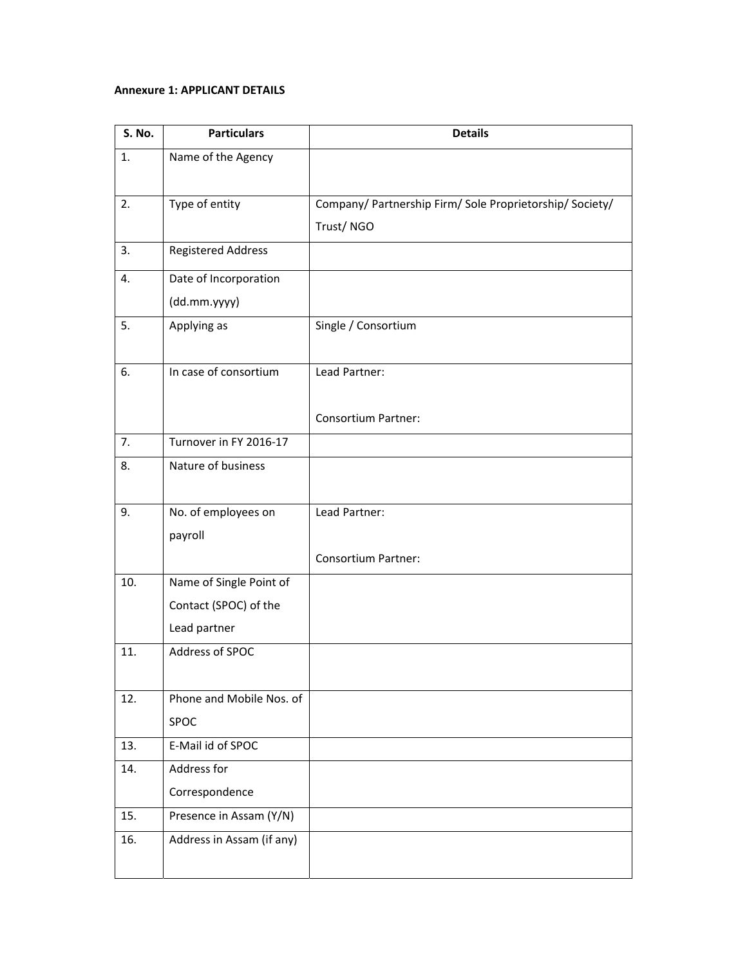## **Annexure 1: APPLICANT DETAILS**

| <b>S. No.</b> | <b>Particulars</b>        | <b>Details</b>                                           |
|---------------|---------------------------|----------------------------------------------------------|
| 1.            | Name of the Agency        |                                                          |
|               |                           |                                                          |
| 2.            | Type of entity            | Company/ Partnership Firm/ Sole Proprietorship/ Society/ |
|               |                           | Trust/NGO                                                |
| 3.            | <b>Registered Address</b> |                                                          |
| 4.            | Date of Incorporation     |                                                          |
|               | (dd.mm.yyyy)              |                                                          |
| 5.            | Applying as               | Single / Consortium                                      |
|               |                           |                                                          |
| 6.            | In case of consortium     | Lead Partner:                                            |
|               |                           |                                                          |
|               |                           | <b>Consortium Partner:</b>                               |
| 7.            | Turnover in FY 2016-17    |                                                          |
| 8.            | Nature of business        |                                                          |
|               |                           |                                                          |
| 9.            | No. of employees on       | Lead Partner:                                            |
|               | payroll                   |                                                          |
|               |                           | <b>Consortium Partner:</b>                               |
| 10.           | Name of Single Point of   |                                                          |
|               | Contact (SPOC) of the     |                                                          |
|               | Lead partner              |                                                          |
| 11.           | Address of SPOC           |                                                          |
|               |                           |                                                          |
| 12.           | Phone and Mobile Nos. of  |                                                          |
|               | SPOC                      |                                                          |
| 13.           | E-Mail id of SPOC         |                                                          |
| 14.           | Address for               |                                                          |
|               | Correspondence            |                                                          |
| 15.           | Presence in Assam (Y/N)   |                                                          |
| 16.           | Address in Assam (if any) |                                                          |
|               |                           |                                                          |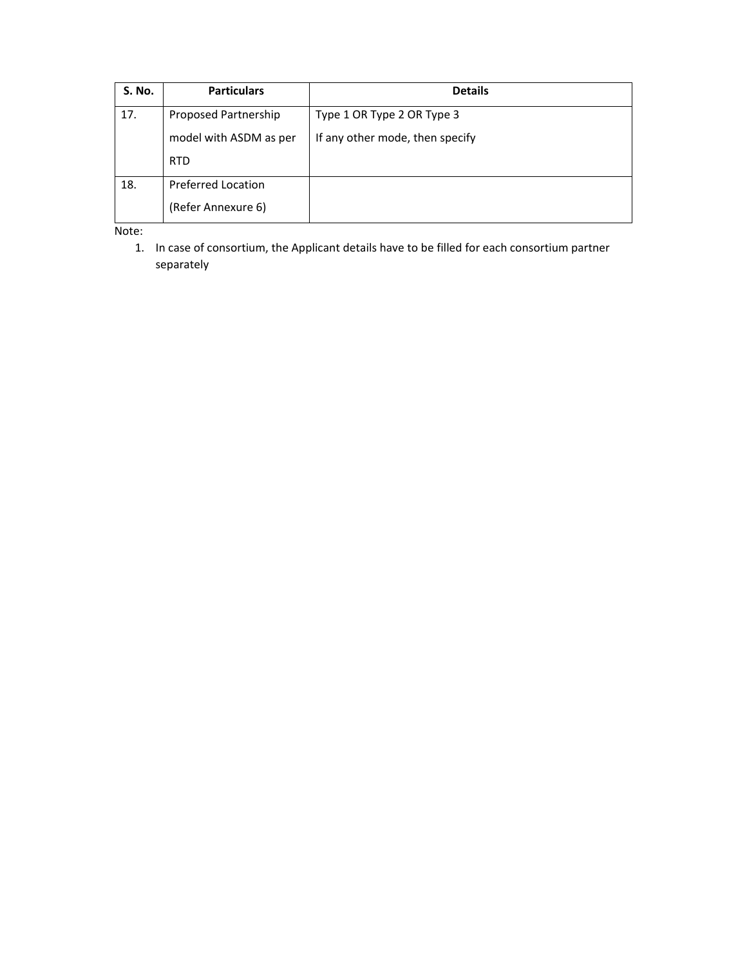| <b>S. No.</b> | <b>Particulars</b>     | <b>Details</b>                  |  |  |
|---------------|------------------------|---------------------------------|--|--|
| 17.           | Proposed Partnership   | Type 1 OR Type 2 OR Type 3      |  |  |
|               | model with ASDM as per | If any other mode, then specify |  |  |
|               | <b>RTD</b>             |                                 |  |  |
| 18.           | Preferred Location     |                                 |  |  |
|               | (Refer Annexure 6)     |                                 |  |  |

Note:

1. In case of consortium, the Applicant details have to be filled for each consortium partner separately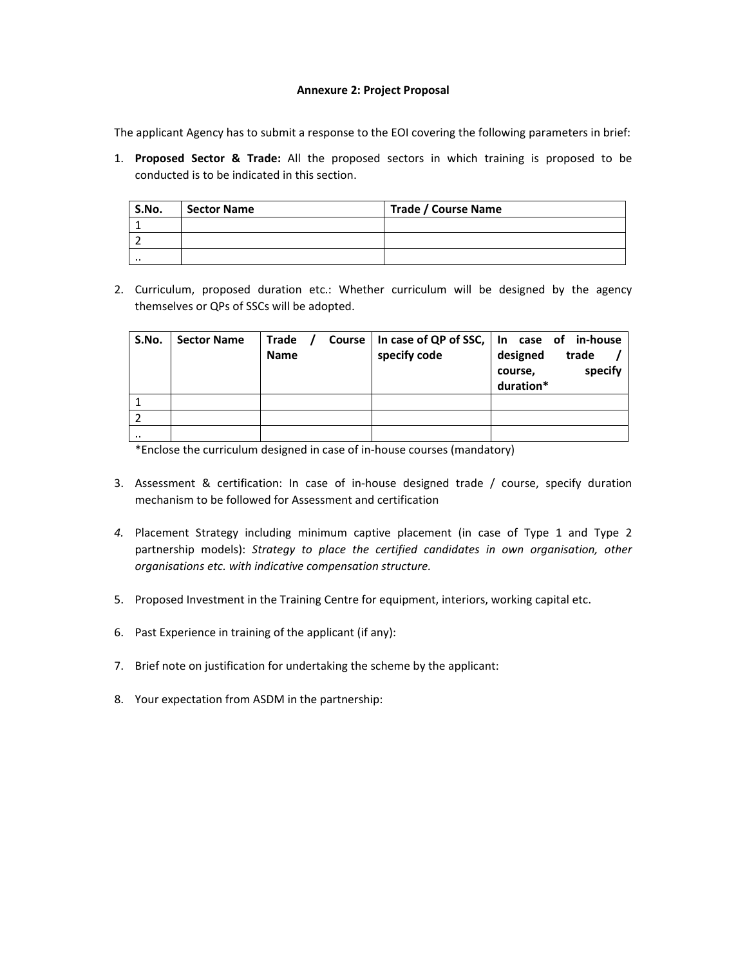### **Annexure 2: Project Proposal**

The applicant Agency has to submit a response to the EOI covering the following parameters in brief:

1. **Proposed Sector & Trade:** All the proposed sectors in which training is proposed to be conducted is to be indicated in this section.

| S.No.     | <b>Sector Name</b> | <b>Trade / Course Name</b> |  |  |
|-----------|--------------------|----------------------------|--|--|
|           |                    |                            |  |  |
|           |                    |                            |  |  |
| $\cdot$ . |                    |                            |  |  |

2. Curriculum, proposed duration etc.: Whether curriculum will be designed by the agency themselves or QPs of SSCs will be adopted.

| S.No.     | <b>Sector Name</b> | Trade /<br>Course  <br><b>Name</b> | specify code | In case of QP of SSC, $\vert$ In case of in-house<br>designed<br>trade<br>specify<br>course,<br>duration* |
|-----------|--------------------|------------------------------------|--------------|-----------------------------------------------------------------------------------------------------------|
|           |                    |                                    |              |                                                                                                           |
|           |                    |                                    |              |                                                                                                           |
| $\cdot$ . |                    |                                    |              |                                                                                                           |

\*Enclose the curriculum designed in case of in‐house courses (mandatory)

- 3. Assessment & certification: In case of in‐house designed trade / course, specify duration mechanism to be followed for Assessment and certification
- *4.* Placement Strategy including minimum captive placement (in case of Type 1 and Type 2 partnership models): *Strategy to place the certified candidates in own organisation, other organisations etc. with indicative compensation structure.*
- 5. Proposed Investment in the Training Centre for equipment, interiors, working capital etc.
- 6. Past Experience in training of the applicant (if any):
- 7. Brief note on justification for undertaking the scheme by the applicant:
- 8. Your expectation from ASDM in the partnership: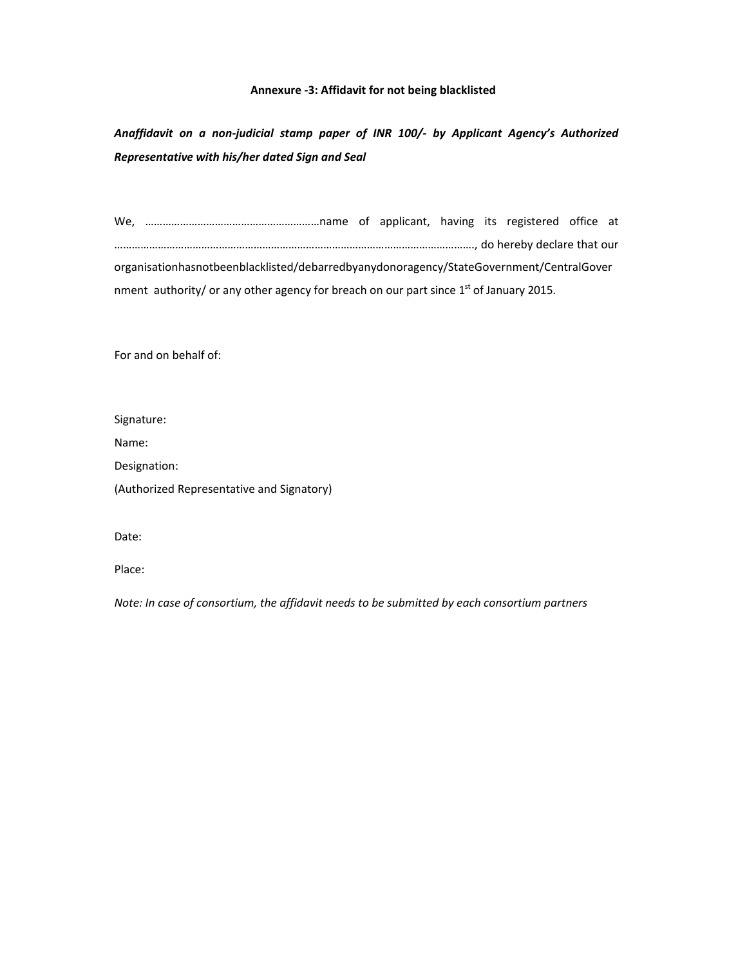### **Annexure ‐3: Affidavit for not being blacklisted**

*Anaffidavit on a non‐judicial stamp paper of INR 100/‐ by Applicant Agency's Authorized Representative with his/her dated Sign and Seal*

| organisationhasnotbeenblacklisted/debarredbyanydonoragency/StateGovernment/CentralGover  |  |  |  |  |
|------------------------------------------------------------------------------------------|--|--|--|--|
| nment authority/ or any other agency for breach on our part since $1st$ of January 2015. |  |  |  |  |

For and on behalf of:

Signature:

Name:

Designation:

(Authorized Representative and Signatory)

Date:

Place:

*Note: In case of consortium, the affidavit needs to be submitted by each consortium partners*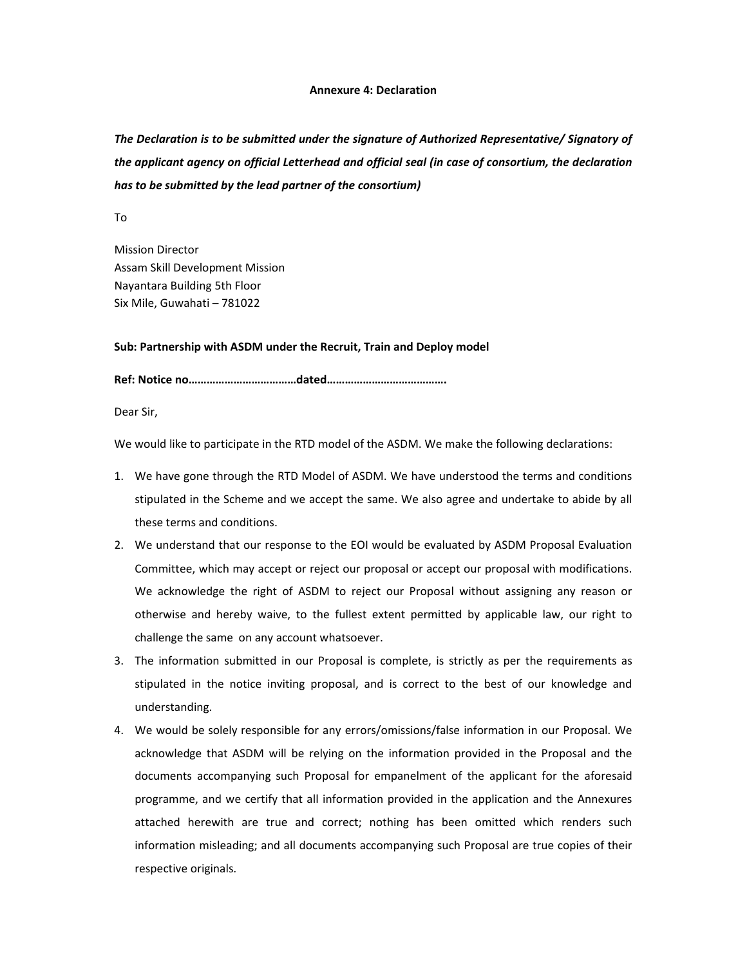#### **Annexure 4: Declaration**

*The Declaration is to be submitted under the signature of Authorized Representative/ Signatory of the applicant agency on official Letterhead and official seal (in case of consortium, the declaration has to be submitted by the lead partner of the consortium)*

To

Mission Director Assam Skill Development Mission Nayantara Building 5th Floor Six Mile, Guwahati – 781022

#### **Sub: Partnership with ASDM under the Recruit, Train and Deploy model**

**Ref: Notice no………………………………dated………………………………….**

Dear Sir,

We would like to participate in the RTD model of the ASDM. We make the following declarations:

- 1. We have gone through the RTD Model of ASDM. We have understood the terms and conditions stipulated in the Scheme and we accept the same. We also agree and undertake to abide by all these terms and conditions.
- 2. We understand that our response to the EOI would be evaluated by ASDM Proposal Evaluation Committee, which may accept or reject our proposal or accept our proposal with modifications. We acknowledge the right of ASDM to reject our Proposal without assigning any reason or otherwise and hereby waive, to the fullest extent permitted by applicable law, our right to challenge the same on any account whatsoever.
- 3. The information submitted in our Proposal is complete, is strictly as per the requirements as stipulated in the notice inviting proposal, and is correct to the best of our knowledge and understanding.
- 4. We would be solely responsible for any errors/omissions/false information in our Proposal. We acknowledge that ASDM will be relying on the information provided in the Proposal and the documents accompanying such Proposal for empanelment of the applicant for the aforesaid programme, and we certify that all information provided in the application and the Annexures attached herewith are true and correct; nothing has been omitted which renders such information misleading; and all documents accompanying such Proposal are true copies of their respective originals.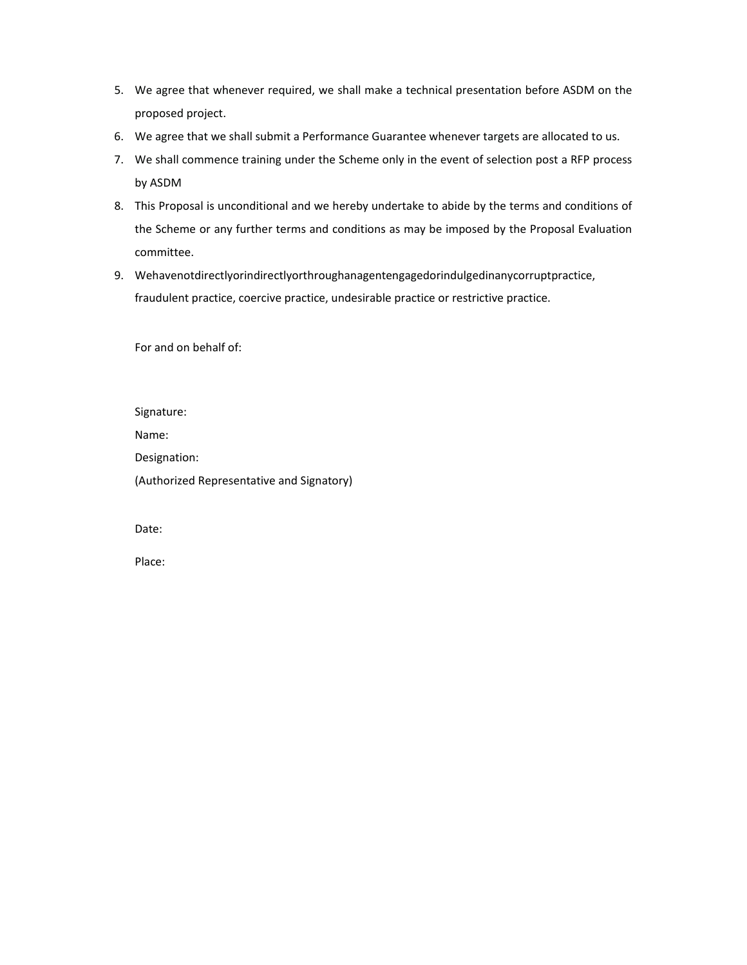- 5. We agree that whenever required, we shall make a technical presentation before ASDM on the proposed project.
- 6. We agree that we shall submit a Performance Guarantee whenever targets are allocated to us.
- 7. We shall commence training under the Scheme only in the event of selection post a RFP process by ASDM
- 8. This Proposal is unconditional and we hereby undertake to abide by the terms and conditions of the Scheme or any further terms and conditions as may be imposed by the Proposal Evaluation committee.
- 9. Wehavenotdirectlyorindirectlyorthroughanagentengagedorindulgedinanycorruptpractice, fraudulent practice, coercive practice, undesirable practice or restrictive practice.

For and on behalf of:

Signature:

Name:

Designation:

(Authorized Representative and Signatory)

Date:

Place: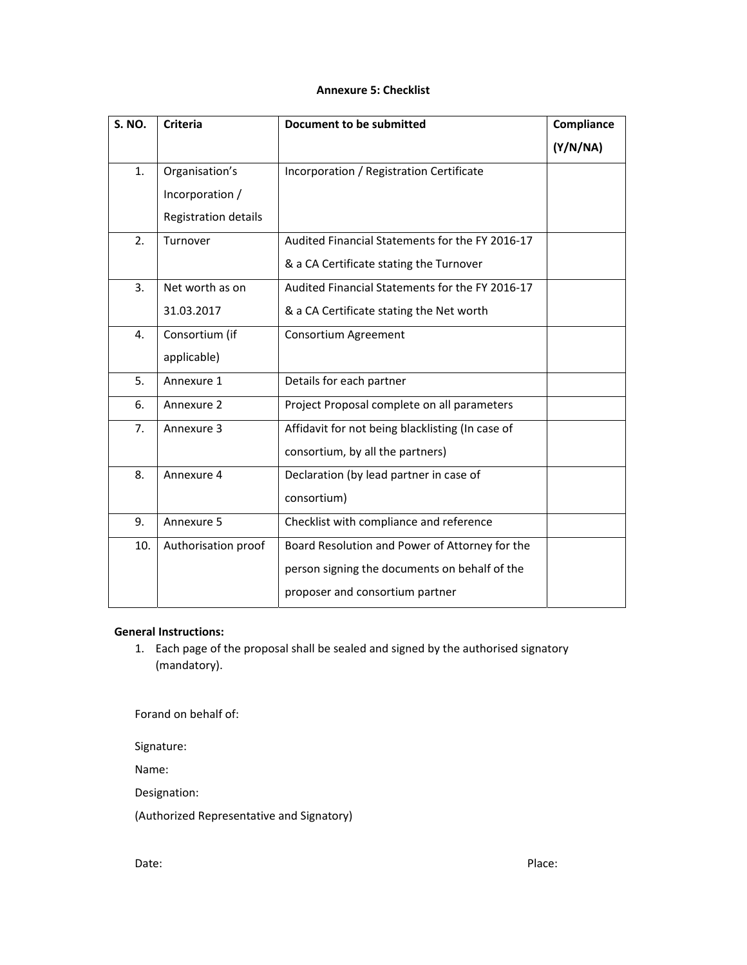## **Annexure 5: Checklist**

| <b>S. NO.</b>  | <b>Criteria</b>      | Document to be submitted                         | Compliance |
|----------------|----------------------|--------------------------------------------------|------------|
|                |                      |                                                  | (Y/N/NA)   |
| 1 <sub>1</sub> | Organisation's       | Incorporation / Registration Certificate         |            |
|                | Incorporation /      |                                                  |            |
|                | Registration details |                                                  |            |
| 2.             | Turnover             | Audited Financial Statements for the FY 2016-17  |            |
|                |                      | & a CA Certificate stating the Turnover          |            |
| 3.             | Net worth as on      | Audited Financial Statements for the FY 2016-17  |            |
|                | 31.03.2017           | & a CA Certificate stating the Net worth         |            |
| 4.             | Consortium (if       | Consortium Agreement                             |            |
|                | applicable)          |                                                  |            |
| 5.             | Annexure 1           | Details for each partner                         |            |
| 6.             | Annexure 2           | Project Proposal complete on all parameters      |            |
| 7.             | Annexure 3           | Affidavit for not being blacklisting (In case of |            |
|                |                      | consortium, by all the partners)                 |            |
| 8.             | Annexure 4           | Declaration (by lead partner in case of          |            |
|                |                      | consortium)                                      |            |
| 9.             | Annexure 5           | Checklist with compliance and reference          |            |
| 10.            | Authorisation proof  | Board Resolution and Power of Attorney for the   |            |
|                |                      | person signing the documents on behalf of the    |            |
|                |                      | proposer and consortium partner                  |            |

# **General Instructions:**

1. Each page of the proposal shall be sealed and signed by the authorised signatory (mandatory).

Forand on behalf of:

Signature:

Name:

Designation:

(Authorized Representative and Signatory)

Date:  $\blacksquare$